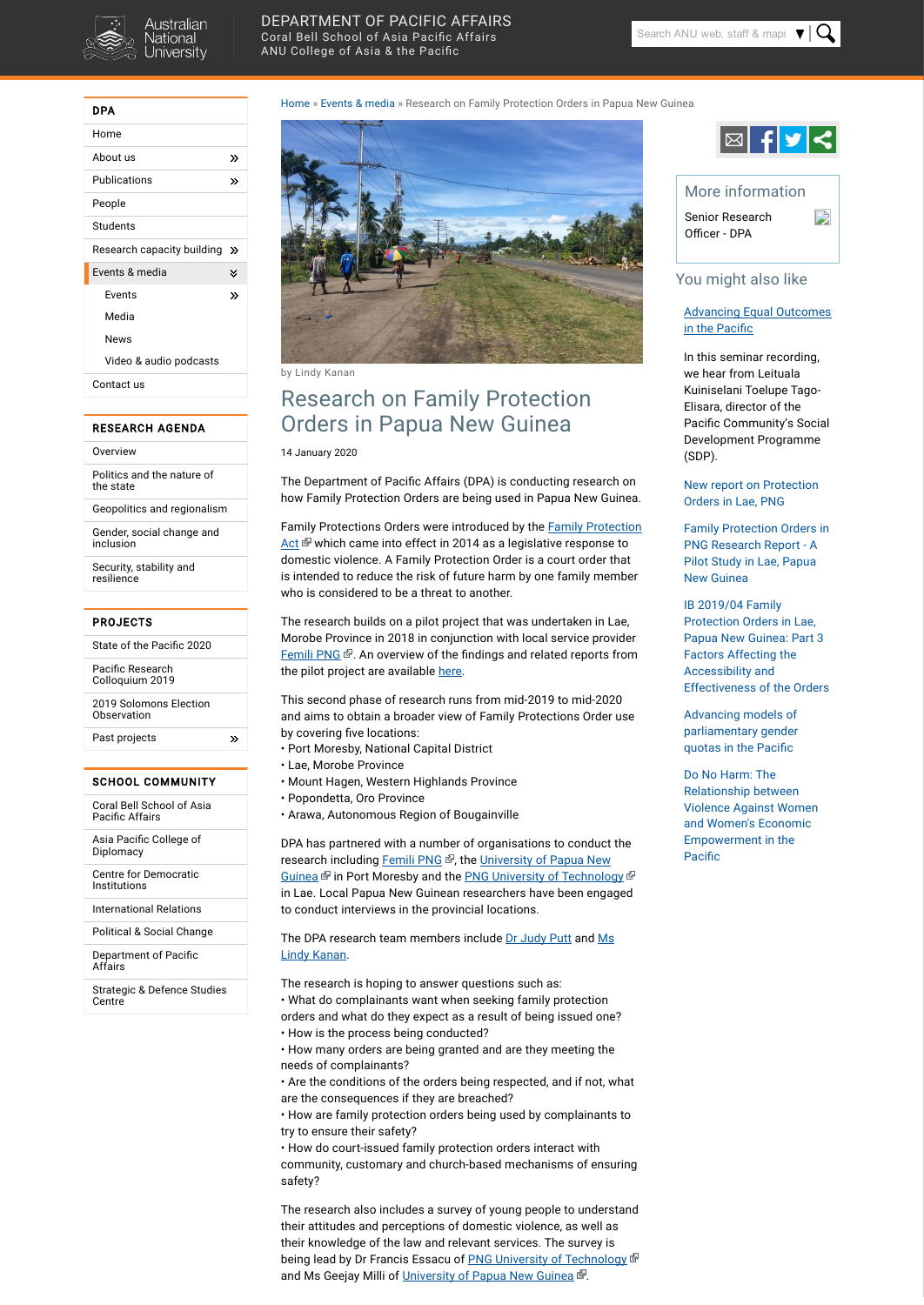

## [DEPARTMENT](http://dpa.bellschool.anu.edu.au/) OF PACIFIC AFFAIRS Coral Bell School of Asia Pacific [Affairs](http://bellschool.anu.edu.au/)

ANU [College](http://asiapacific.anu.edu.au/) of Asia & the Pacific

| DPA                        |   |
|----------------------------|---|
| Home                       |   |
| About us                   | ≫ |
| Publications               | ≫ |
| People                     |   |
| Students                   |   |
| Research capacity building | ≫ |
| Events & media             | × |
| Events                     | ≫ |
| Media                      |   |
| News                       |   |
| Video & audio podcasts     |   |
| Contact us                 |   |
|                            |   |

Pacific Research [Colloquium](http://dpa.bellschool.anu.edu.au/our-projects/pacific-research-colloquium-2019) 2019

2019 Solomons Election **[Observation](http://dpa.bellschool.anu.edu.au/our-projects/2019-solomon-islands-general-elections-domestic-observation)** 

 $\gg$ 

#### RESEARCH AGENDA

|  | Overview |  |  |
|--|----------|--|--|
|  |          |  |  |
|  |          |  |  |
|  |          |  |  |
|  |          |  |  |

Coral Bell [School](http://bellschool.anu.edu.au/) of Asia Pacific Affairs

[Politics](http://dpa.bellschool.anu.edu.au/research/politics-and-nature-state) and the nature of the state

Asia Pacific College of [Diplomacy](http://apcd.bellschool.anu.edu.au/)

Geopolitics and [regionalism](http://dpa.bellschool.anu.edu.au/research/geopolitics-and-regionalism)

Gender, social change and [inclusion](http://dpa.bellschool.anu.edu.au/research/gender-social-change-and-inclusion)

[Department](http://dpa.bellschool.anu.edu.au/) of Pacific Affairs

Security, stability and [resilience](http://dpa.bellschool.anu.edu.au/research/security-stability-and-resilience)

#### PROJECTS

State of the Pacific 2020

[Advancing](http://dpa.bellschool.anu.edu.au/news-events/podcasts/audio/7292/advancing-equal-outcomes-pacific) Equal Outcomes in the Pacific

Past [projects](http://dpa.bellschool.anu.edu.au/our-projects/past-projects)

#### SCHOOL COMMUNITY

Centre for [Democratic](http://cdi.bellschool.anu.edu.au/) Institutions

[International](http://ir.bellschool.anu.edu.au/) Relations

[Political](http://psc.bellschool.anu.edu.au/) & Social Change

[Advancing](http://dpa.bellschool.anu.edu.au/news-events/news/4689/advancing-models-parliamentary-gender-quotas-pacific) models of [parliamentary](http://dpa.bellschool.anu.edu.au/news-events/news/4689/advancing-models-parliamentary-gender-quotas-pacific) gender [quotas](http://dpa.bellschool.anu.edu.au/news-events/news/4689/advancing-models-parliamentary-gender-quotas-pacific) in the Pacific

[Strategic](http://sdsc.bellschool.anu.edu.au/) & Defence Studies Centre

Do No [Harm:](http://dpa.bellschool.anu.edu.au/experts-publications/publications/1289/do-no-harm-relationship-between-violence-against-women-and) The [Relationship](http://dpa.bellschool.anu.edu.au/experts-publications/publications/1289/do-no-harm-relationship-between-violence-against-women-and) between [Violence](http://dpa.bellschool.anu.edu.au/experts-publications/publications/1289/do-no-harm-relationship-between-violence-against-women-and) Against Women and Women's [Economic](http://dpa.bellschool.anu.edu.au/experts-publications/publications/1289/do-no-harm-relationship-between-violence-against-women-and) [Empowerment](http://dpa.bellschool.anu.edu.au/experts-publications/publications/1289/do-no-harm-relationship-between-violence-against-women-and) in the Pacific

### [Home](http://dpa.bellschool.anu.edu.au/) » [Events](http://dpa.bellschool.anu.edu.au/news-events) & media » Research on Family Protection Orders in Papua New Guinea



by Lindy Kanan

The Department of Pacific Affairs (DPA) is conducting research on how Family Protection Orders are being used in Papua New Guinea.

# Research on Family Protection Orders in Papua New Guinea

14 January 2020



## You might also like

The research builds on a pilot project that was undertaken in Lae, Morobe Province in 2018 in conjunction with local service provider [Femili](http://www.femilipng.org/) PNG  $\Phi$ . An overview of the findings and related reports from the pilot project are available [here.](http://dpa.bellschool.anu.edu.au/news-events/stories/6714/new-report-protection-orders-lae-png)

In this seminar recording, we hear from Leituala Kuiniselani Toelupe Tago-Elisara, director of the Pacific Community's Social Development Programme (SDP).

This second phase of research runs from mid-2019 to mid-2020 and aims to obtain a broader view of Family Protections Order use by covering five locations:

New report on [Protection](http://dpa.bellschool.anu.edu.au/news-events/stories/6714/new-report-protection-orders-lae-png) [Orders](http://dpa.bellschool.anu.edu.au/news-events/stories/6714/new-report-protection-orders-lae-png) in Lae, PNG

Family [Protection](http://dpa.bellschool.anu.edu.au/experts-publications/publications/6711/family-protection-orders-png-research-report-pilot-study-lae) Orders in PNG [Research](http://dpa.bellschool.anu.edu.au/experts-publications/publications/6711/family-protection-orders-png-research-report-pilot-study-lae) Report - A Pilot Study in Lae, [Papua](http://dpa.bellschool.anu.edu.au/experts-publications/publications/6711/family-protection-orders-png-research-report-pilot-study-lae) New [Guinea](http://dpa.bellschool.anu.edu.au/experts-publications/publications/6711/family-protection-orders-png-research-report-pilot-study-lae)

IB [2019/04](http://dpa.bellschool.anu.edu.au/experts-publications/publications/6708/ib-201904-family-protection-orders-lae-papua-new-guinea-part) Family [Protection](http://dpa.bellschool.anu.edu.au/experts-publications/publications/6708/ib-201904-family-protection-orders-lae-papua-new-guinea-part) Orders in Lae, Papua New [Guinea:](http://dpa.bellschool.anu.edu.au/experts-publications/publications/6708/ib-201904-family-protection-orders-lae-papua-new-guinea-part) Part 3 Factors [Affecting](http://dpa.bellschool.anu.edu.au/experts-publications/publications/6708/ib-201904-family-protection-orders-lae-papua-new-guinea-part) the [Accessibility](http://dpa.bellschool.anu.edu.au/experts-publications/publications/6708/ib-201904-family-protection-orders-lae-papua-new-guinea-part) and [Effectiveness](http://dpa.bellschool.anu.edu.au/experts-publications/publications/6708/ib-201904-family-protection-orders-lae-papua-new-guinea-part) of the Orders

The DPA research team members include Dr [Judy](http://dpa.bellschool.anu.edu.au/experts-publications/experts/judy-putt) Putt and [Ms](http://dpa.bellschool.anu.edu.au/experts-publications/experts/lindy-kanan) Lindy [Kanan](http://dpa.bellschool.anu.edu.au/experts-publications/experts/lindy-kanan).

The research also includes a survey of young people to understand their attitudes and perceptions of domestic violence, as well as their knowledge of the law and relevant services. The survey is being lead by Dr Francis Essacu of PNG University of [Technology](https://www.unitech.ac.pg/) ® and Ms Geejay Milli of [University](http://www.upng.ac.pg/) of Papua New Guinea .

Family Protections Orders were introduced by the Family [Protection](http://www.paclii.org/pg/legis/num_act/fpa2013206/) [Act](http://www.paclii.org/pg/legis/num_act/fpa2013206/)  $\mathbb{F}$  which came into effect in 2014 as a legislative response to domestic violence. A Family Protection Order is a court order that is intended to reduce the risk of future harm by one family member who is considered to be a threat to another.

- Port Moresby, National Capital District
- Lae, Morobe Province
- Mount Hagen, Western Highlands Province
- Popondetta, Oro Province
- Arawa, Autonomous Region of Bougainville

DPA has partnered with a number of organisations to conduct the research including [Femili](http://www.femilipng.org/) PNG ®, the [University](http://www.upng.ac.pg/) of Papua New [Guinea](http://www.upng.ac.pg/) <sup>®</sup> in Port Moresby and the **PNG University of [Technology](https://www.unitech.ac.pg/)** ® in Lae. Local Papua New Guinean researchers have been engaged to conduct interviews in the provincial locations.

The research is hoping to answer questions such as:



• What do complainants want when seeking family protection orders and what do they expect as a result of being issued one? • How is the process being conducted?

• How many orders are being granted and are they meeting the needs of complainants?

• Are the conditions of the orders being respected, and if not, what are the consequences if they are breached?

• How are family protection orders being used by complainants to try to ensure their safety?

• How do court-issued family protection orders interact with community, customary and church-based mechanisms of ensuring safety?